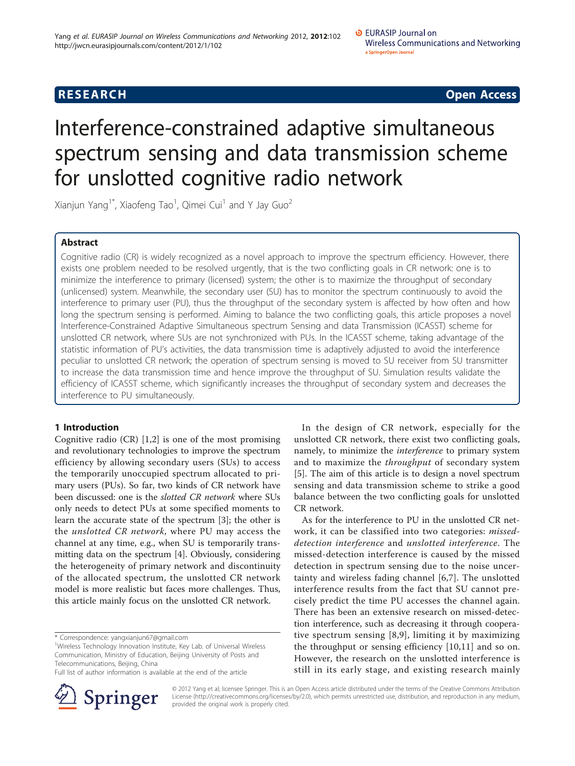## **RESEARCH CONTROL** RESEARCH COMMUNISMENT CONTROL CONTROL CONTROL CONTROL CONTROL CONTROL CONTROL CONTROL CONTROL CONTROL CONTROL CONTROL CONTROL CONTROL CONTROL CONTROL CONTROL CONTROL CONTROL CONTROL CONTROL CONTROL CONTR

# Interference-constrained adaptive simultaneous spectrum sensing and data transmission scheme for unslotted cognitive radio network

Xianjun Yang $^{\text{1*}}$ , Xiaofeng Tao $^{\text{1}}$ , Qimei Cui $^{\text{1}}$  and Y Jay Guo $^{\text{2}}$ 

#### Abstract

Cognitive radio (CR) is widely recognized as a novel approach to improve the spectrum efficiency. However, there exists one problem needed to be resolved urgently, that is the two conflicting goals in CR network: one is to minimize the interference to primary (licensed) system; the other is to maximize the throughput of secondary (unlicensed) system. Meanwhile, the secondary user (SU) has to monitor the spectrum continuously to avoid the interference to primary user (PU), thus the throughput of the secondary system is affected by how often and how long the spectrum sensing is performed. Aiming to balance the two conflicting goals, this article proposes a novel Interference-Constrained Adaptive Simultaneous spectrum Sensing and data Transmission (ICASST) scheme for unslotted CR network, where SUs are not synchronized with PUs. In the ICASST scheme, taking advantage of the statistic information of PU's activities, the data transmission time is adaptively adjusted to avoid the interference peculiar to unslotted CR network; the operation of spectrum sensing is moved to SU receiver from SU transmitter to increase the data transmission time and hence improve the throughput of SU. Simulation results validate the efficiency of ICASST scheme, which significantly increases the throughput of secondary system and decreases the interference to PU simultaneously.

#### 1 Introduction

Cognitive radio  $(CR)$  [\[1,2](#page-11-0)] is one of the most promising and revolutionary technologies to improve the spectrum efficiency by allowing secondary users (SUs) to access the temporarily unoccupied spectrum allocated to primary users (PUs). So far, two kinds of CR network have been discussed: one is the slotted CR network where SUs only needs to detect PUs at some specified moments to learn the accurate state of the spectrum [\[3](#page-11-0)]; the other is the unslotted CR network, where PU may access the channel at any time, e.g., when SU is temporarily transmitting data on the spectrum [[4\]](#page-11-0). Obviously, considering the heterogeneity of primary network and discontinuity of the allocated spectrum, the unslotted CR network model is more realistic but faces more challenges. Thus, this article mainly focus on the unslotted CR network.

\* Correspondence: [yangxianjun67@gmail.com](mailto:yangxianjun67@gmail.com)

Full list of author information is available at the end of the article



In the design of CR network, especially for the unslotted CR network, there exist two conflicting goals, namely, to minimize the interference to primary system and to maximize the *throughput* of secondary system [[5\]](#page-11-0). The aim of this article is to design a novel spectrum sensing and data transmission scheme to strike a good balance between the two conflicting goals for unslotted CR network.

As for the interference to PU in the unslotted CR network, it can be classified into two categories: misseddetection interference and unslotted interference. The missed-detection interference is caused by the missed detection in spectrum sensing due to the noise uncertainty and wireless fading channel [\[6,7\]](#page-11-0). The unslotted interference results from the fact that SU cannot precisely predict the time PU accesses the channel again. There has been an extensive research on missed-detection interference, such as decreasing it through cooperative spectrum sensing [[8](#page-11-0),[9\]](#page-11-0), limiting it by maximizing the throughput or sensing efficiency [\[10](#page-11-0),[11\]](#page-11-0) and so on. However, the research on the unslotted interference is still in its early stage, and existing research mainly

© 2012 Yang et al; licensee Springer. This is an Open Access article distributed under the terms of the Creative Commons Attribution License [\(http://creativecommons.org/licenses/by/2.0](http://creativecommons.org/licenses/by/2.0)), which permits unrestricted use, distribution, and reproduction in any medium, provided the original work is properly cited.

<sup>&</sup>lt;sup>1</sup>Wireless Technology Innovation Institute, Key Lab. of Universal Wireless Communication, Ministry of Education, Beijing University of Posts and Telecommunications, Beijing, China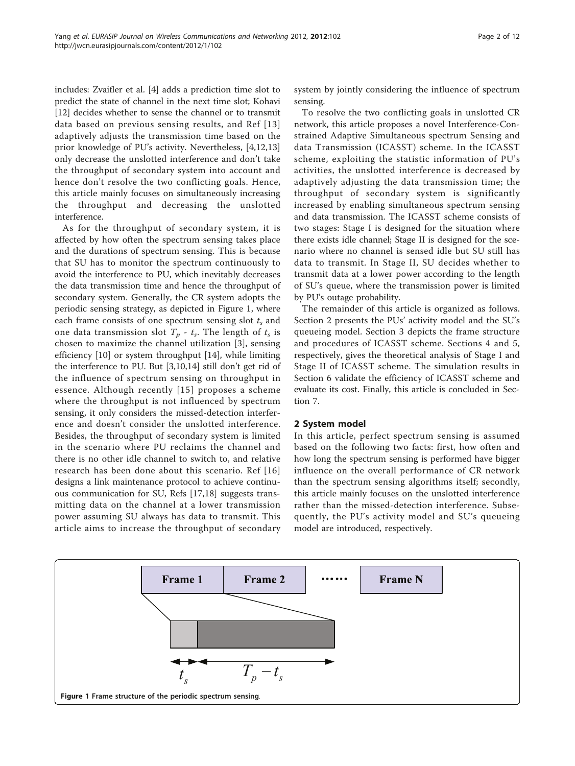<span id="page-1-0"></span>includes: Zvaifler et al. [[4\]](#page-11-0) adds a prediction time slot to predict the state of channel in the next time slot; Kohavi [[12\]](#page-11-0) decides whether to sense the channel or to transmit data based on previous sensing results, and Ref [[13](#page-11-0)] adaptively adjusts the transmission time based on the prior knowledge of PU's activity. Nevertheless, [\[4,12,13](#page-11-0)] only decrease the unslotted interference and don't take the throughput of secondary system into account and hence don't resolve the two conflicting goals. Hence, this article mainly focuses on simultaneously increasing the throughput and decreasing the unslotted interference.

As for the throughput of secondary system, it is affected by how often the spectrum sensing takes place and the durations of spectrum sensing. This is because that SU has to monitor the spectrum continuously to avoid the interference to PU, which inevitably decreases the data transmission time and hence the throughput of secondary system. Generally, the CR system adopts the periodic sensing strategy, as depicted in Figure 1, where each frame consists of one spectrum sensing slot  $t_s$  and one data transmission slot  $T_p$  -  $t_s$ . The length of  $t_s$  is chosen to maximize the channel utilization [[3\]](#page-11-0), sensing efficiency [[10\]](#page-11-0) or system throughput [[14\]](#page-11-0), while limiting the interference to PU. But [\[3,10,14\]](#page-11-0) still don't get rid of the influence of spectrum sensing on throughput in essence. Although recently [[15\]](#page-11-0) proposes a scheme where the throughput is not influenced by spectrum sensing, it only considers the missed-detection interference and doesn't consider the unslotted interference. Besides, the throughput of secondary system is limited in the scenario where PU reclaims the channel and there is no other idle channel to switch to, and relative research has been done about this scenario. Ref [[16](#page-11-0)] designs a link maintenance protocol to achieve continuous communication for SU, Refs [[17,18\]](#page-11-0) suggests transmitting data on the channel at a lower transmission power assuming SU always has data to transmit. This article aims to increase the throughput of secondary system by jointly considering the influence of spectrum sensing.

To resolve the two conflicting goals in unslotted CR network, this article proposes a novel Interference-Constrained Adaptive Simultaneous spectrum Sensing and data Transmission (ICASST) scheme. In the ICASST scheme, exploiting the statistic information of PU's activities, the unslotted interference is decreased by adaptively adjusting the data transmission time; the throughput of secondary system is significantly increased by enabling simultaneous spectrum sensing and data transmission. The ICASST scheme consists of two stages: Stage I is designed for the situation where there exists idle channel; Stage II is designed for the scenario where no channel is sensed idle but SU still has data to transmit. In Stage II, SU decides whether to transmit data at a lower power according to the length of SU's queue, where the transmission power is limited by PU's outage probability.

The remainder of this article is organized as follows. Section 2 presents the PUs' activity model and the SU's queueing model. Section 3 depicts the frame structure and procedures of ICASST scheme. Sections 4 and 5, respectively, gives the theoretical analysis of Stage I and Stage II of ICASST scheme. The simulation results in Section 6 validate the efficiency of ICASST scheme and evaluate its cost. Finally, this article is concluded in Section 7.

#### 2 System model

In this article, perfect spectrum sensing is assumed based on the following two facts: first, how often and how long the spectrum sensing is performed have bigger influence on the overall performance of CR network than the spectrum sensing algorithms itself; secondly, this article mainly focuses on the unslotted interference rather than the missed-detection interference. Subsequently, the PU's activity model and SU's queueing model are introduced, respectively.

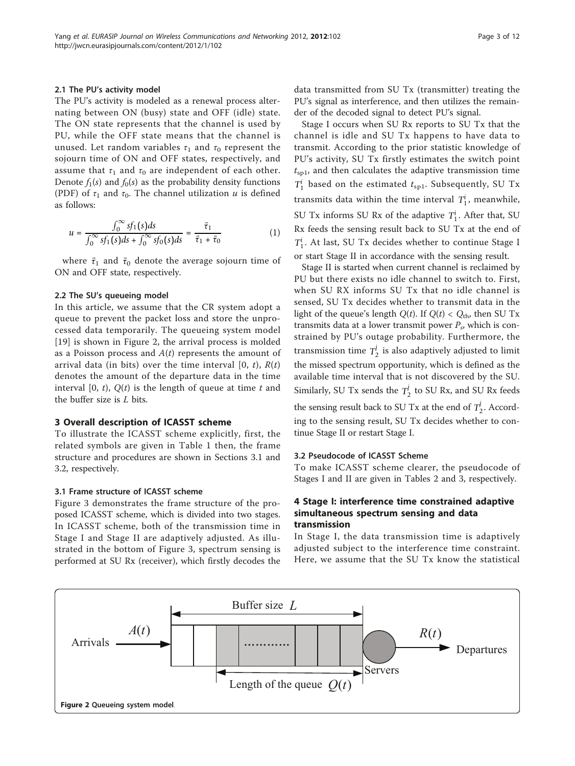#### 2.1 The PU's activity model

The PU's activity is modeled as a renewal process alternating between ON (busy) state and OFF (idle) state. The ON state represents that the channel is used by PU, while the OFF state means that the channel is unused. Let random variables  $\tau_1$  and  $\tau_0$  represent the sojourn time of ON and OFF states, respectively, and assume that  $\tau_1$  and  $\tau_0$  are independent of each other. Denote  $f_1(s)$  and  $f_0(s)$  as the probability density functions (PDF) of  $\tau_1$  and  $\tau_0$ . The channel utilization u is defined as follows:

$$
u = \frac{\int_0^\infty s f_1(s) ds}{\int_0^\infty s f_1(s) ds + \int_0^\infty s f_0(s) ds} = \frac{\bar{\tau}_1}{\bar{\tau}_1 + \bar{\tau}_0}
$$
(1)

where  $\bar{\tau}_1$  and  $\bar{\tau}_0$  denote the average sojourn time of ON and OFF state, respectively.

#### 2.2 The SU's queueing model

In this article, we assume that the CR system adopt a queue to prevent the packet loss and store the unprocessed data temporarily. The queueing system model [[19\]](#page-11-0) is shown in Figure 2, the arrival process is molded as a Poisson process and  $A(t)$  represents the amount of arrival data (in bits) over the time interval  $[0, t)$ ,  $R(t)$ denotes the amount of the departure data in the time interval  $[0, t)$ ,  $Q(t)$  is the length of queue at time t and the buffer size is L bits.

#### 3 Overall description of ICASST scheme

To illustrate the ICASST scheme explicitly, first, the related symbols are given in Table [1](#page-3-0) then, the frame structure and procedures are shown in Sections 3.1 and 3.2, respectively.

#### 3.1 Frame structure of ICASST scheme

Figure [3](#page-3-0) demonstrates the frame structure of the proposed ICASST scheme, which is divided into two stages. In ICASST scheme, both of the transmission time in Stage I and Stage II are adaptively adjusted. As illustrated in the bottom of Figure [3](#page-3-0), spectrum sensing is performed at SU Rx (receiver), which firstly decodes the data transmitted from SU Tx (transmitter) treating the PU's signal as interference, and then utilizes the remainder of the decoded signal to detect PU's signal.

Stage I occurs when SU Rx reports to SU Tx that the channel is idle and SU Tx happens to have data to transmit. According to the prior statistic knowledge of PU's activity, SU Tx firstly estimates the switch point  $t_{\rm{spl}}$ , and then calculates the adaptive transmission time  $T_1^i$  based on the estimated  $t_{\rm{spl}}$ . Subsequently, SU Tx transmits data within the time interval  $T_1^i$ , meanwhile, SU Tx informs SU Rx of the adaptive  $T_1^i$ . After that, SU Rx feeds the sensing result back to SU Tx at the end of *Ti* <sup>1</sup>. At last, SU Tx decides whether to continue Stage I or start Stage II in accordance with the sensing result.

Stage II is started when current channel is reclaimed by PU but there exists no idle channel to switch to. First, when SU RX informs SU Tx that no idle channel is sensed, SU Tx decides whether to transmit data in the light of the queue's length  $Q(t)$ . If  $Q(t) < Q_{\text{th}}$ , then SU Tx transmits data at a lower transmit power  $P_s$ , which is constrained by PU's outage probability. Furthermore, the transmission time  $T_2^j$  is also adaptively adjusted to limit the missed spectrum opportunity, which is defined as the available time interval that is not discovered by the SU. Similarly, SU Tx sends the  $T_2^j$  to SU Rx, and SU Rx feeds

the sensing result back to SU Tx at the end of  $T_2^j$ . According to the sensing result, SU Tx decides whether to continue Stage II or restart Stage I.

#### 3.2 Pseudocode of ICASST Scheme

To make ICASST scheme clearer, the pseudocode of Stages I and II are given in Tables [2](#page-4-0) and [3](#page-4-0), respectively.

#### 4 Stage I: interference time constrained adaptive simultaneous spectrum sensing and data transmission

In Stage I, the data transmission time is adaptively adjusted subject to the interference time constraint. Here, we assume that the SU Tx know the statistical

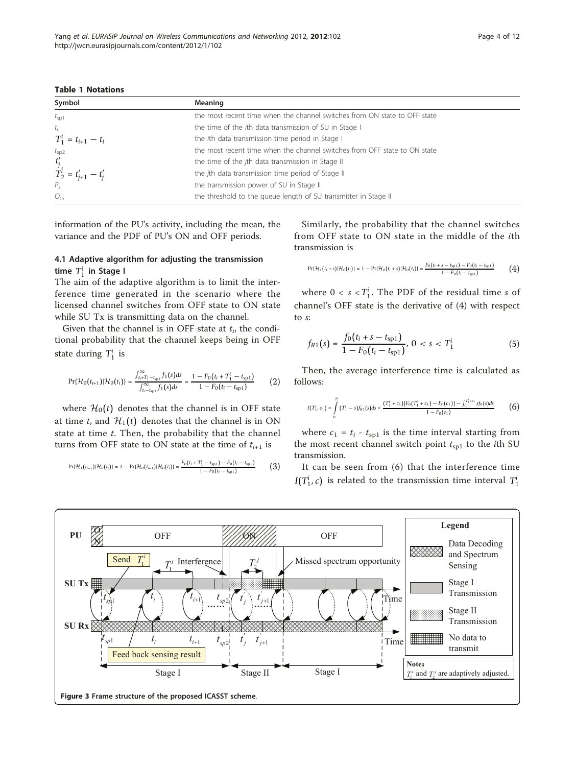<span id="page-3-0"></span>Table 1 Notations

| Symbol                                      | Meaning                                                                   |
|---------------------------------------------|---------------------------------------------------------------------------|
| $t_{\rm sp1}$                               | the most recent time when the channel switches from ON state to OFF state |
| $t_i$                                       | the time of the ith data transmission of SU in Stage I                    |
| $T_1^i = t_{i+1} - t_i$                     | the ith data transmission time period in Stage I                          |
| $t_{\rm sp2}$                               | the most recent time when the channel switches from OFF state to ON state |
|                                             | the time of the jth data transmission in Stage II                         |
| $t'_{j}$<br>$T^{j}_{2} = t'_{j+1} - t'_{j}$ | the jth data transmission time period of Stage II                         |
|                                             | the transmission power of SU in Stage II                                  |
| $Q_{\text{th}}$                             | the threshold to the queue length of SU transmitter in Stage II           |

information of the PU's activity, including the mean, the variance and the PDF of PU's ON and OFF periods.

### 4.1 Adaptive algorithm for adjusting the transmission time  $T_1^i$  in Stage I

The aim of the adaptive algorithm is to limit the interference time generated in the scenario where the licensed channel switches from OFF state to ON state while SU Tx is transmitting data on the channel.

Given that the channel is in OFF state at  $t_i$ , the conditional probability that the channel keeps being in OFF state during  $T_1^i$  is

$$
\Pr\{\mathcal{H}_0(t_{i+1})|\mathcal{H}_0(t_i)\} = \frac{\int_{t_i+T_1^i - t_{\rm sp1}}^{t_{\infty}} f_1(s)ds}{\int_{t_i - t_{\rm sp1}}^{t_{\infty}} f_1(s)ds} = \frac{1 - F_0(t_i + T_1^i - t_{\rm sp1})}{1 - F_0(t_i - t_{\rm sp1})} \tag{2}
$$

where  $\mathcal{H}_0(t)$  denotes that the channel is in OFF state at time t, and  $\mathcal{H}_1(t)$  denotes that the channel is in ON state at time  $t$ . Then, the probability that the channel turns from OFF state to ON state at the time of  $t_{i+1}$  is

$$
\Pr\{\mathcal{H}_1\{t_{i+1}\}|\mathcal{H}_0\{t_i\}\} = 1 - \Pr\{\mathcal{H}_0\{t_{i+1}\}|\mathcal{H}_0\{t_i\}\} = \frac{F_0\{t_i + T_1^i - t_{\text{sp1}}\} - F_0\{t_i - t_{\text{sp1}}\}}{1 - F_0\{t_i - t_{\text{sp1}}\}} \tag{3}
$$

Similarly, the probability that the channel switches from OFF state to ON state in the middle of the ith transmission is

$$
\Pr\{\mathcal{H}_1(t_i+s)|\mathcal{H}_0(t_i)\} = 1 - \Pr\{\mathcal{H}_0(t_i+s)|\mathcal{H}_0(t_i)\} = \frac{F_0(t_i+s-t_{\text{sp1}}) - F_0(t_i-t_{\text{sp1}})}{1 - F_0(t_i-t_{\text{sp1}})}\tag{4}
$$

where  $0 < s < T_1^i$ . The PDF of the residual time s of channel's OFF state is the derivative of (4) with respect to s:

$$
f_{R1}(s) = \frac{f_0(t_i + s - t_{\rm{spl}})}{1 - F_0(t_i - t_{\rm{spl}})}, \ 0 < s < T_1^i \tag{5}
$$

Then, the average interference time is calculated as follows:

$$
I(T_1^i, c_1) = \int\limits_{0}^{T_1^i} (T_1^i - s) f_{R1}(s) ds = \frac{(T_1^i + c_1)[F_0(T_1^i + c_1) - F_0(c_1)] - \int_{c_1}^{T_1^i + c_1} s f_0(s) ds}{1 - F_0(c_1)}
$$
(6)

where  $c_1 = t_i - t_{\text{spl}}$  is the time interval starting from the most recent channel switch point  $t_{\text{spl}}$  to the *i*th SU transmission.

It can be seen from (6) that the interference time *I*( $T_1^i$ , *c*) is related to the transmission time interval  $T_1^i$ 

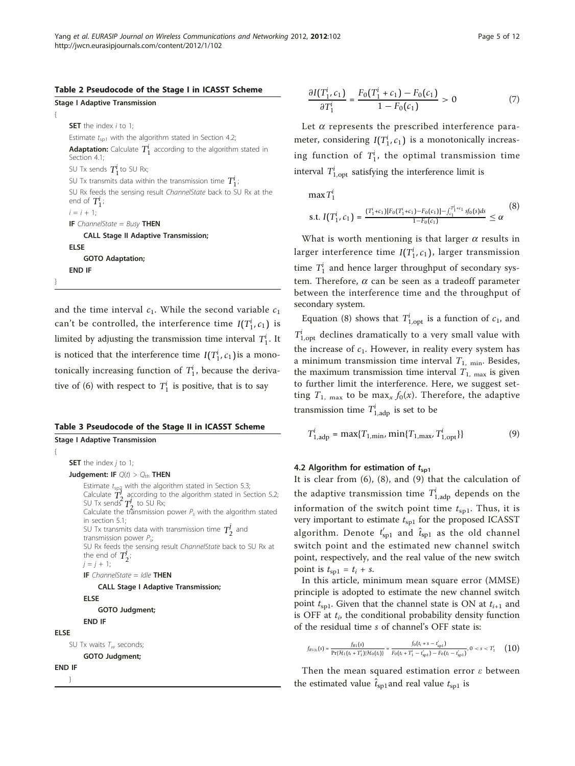<span id="page-4-0"></span>

|  | Table 2 Pseudocode of the Stage I in ICASST Scheme |  |  |  |  |  |  |  |
|--|----------------------------------------------------|--|--|--|--|--|--|--|
|--|----------------------------------------------------|--|--|--|--|--|--|--|

|   | <b>Stage I Adaptive Transmission</b>                                                      |
|---|-------------------------------------------------------------------------------------------|
| ₹ |                                                                                           |
|   | <b>SET</b> the index $i$ to 1:                                                            |
|   | Estimate $t_{\rm sp1}$ with the algorithm stated in Section 4.2;                          |
|   | <b>Adaptation:</b> Calculate $T_1^i$ according to the algorithm stated in<br>Section 4.1; |
|   | SU Tx sends $T_1^i$ to SU Rx;                                                             |
|   | SU Tx transmits data within the transmission time $T_1^i$ ;                               |
|   | SU Rx feeds the sensing result ChannelState back to SU Rx at the<br>end of $T_1^i$ ;      |
|   | $i = i + 1$ ;                                                                             |
|   | <b>IF</b> ChannelState = Busy <b>THEN</b>                                                 |
|   | <b>CALL Stage II Adaptive Transmission;</b>                                               |
|   | ELSE                                                                                      |
|   | <b>GOTO Adaptation;</b>                                                                   |
|   | <b>END IF</b>                                                                             |
|   |                                                                                           |
|   |                                                                                           |

and the time interval  $c_1$ . While the second variable  $c_1$ can't be controlled, the interference time  $I(T_1^i, c_1)$  is limited by adjusting the transmission time interval  $T_1^i$ . It is noticed that the interference time  $I(T_1^i, c_1)$  is a monotonically increasing function of  $T_1^i$ , because the derivative of (6) with respect to  $T_1^i$  is positive, that is to say

#### Table 3 Pseudocode of the Stage II in ICASST Scheme

```
Stage I Adaptive Transmission
     SET the index j to 1;
     Judgement: IF Q(t) > Q_{\text{th}} THEN
           Estimate t_{\text{sp2}} with the algorithm stated in Section 5.3;<br>Calculate T_2^f according to the algorithm stated in Section 5.2;<br>SU Tx sends T_2^f to SU Rx;
           Calculate the transmission power P_s with the algorithm stated
           in section 5.1;
           SU Tx transmits data with transmission time T_2^j and
           transmission power P_{si}SU Rx feeds the sensing result ChannelState back to SU Rx at
           the end of T_2^j;
          j = j + 1;IF ChannelState = Idle THEN
                CALL Stage I Adaptive Transmission;
          ELSE
                GOTO Judgment;
          END IF
ELSE
     SU Tx waits T_w seconds;
          GOTO Judgment;
END IF
     }
```

$$
\frac{\partial I(T_1^i, c_1)}{\partial T_1^i} = \frac{F_0(T_1^i + c_1) - F_0(c_1)}{1 - F_0(c_1)} > 0 \tag{7}
$$

Let  $\alpha$  represents the prescribed interference parameter, considering  $I(T_1^i, c_1)$  is a monotonically increasing function of  $T_1^i$ , the optimal transmission time interval  $T_{1,\text{opt}}^i$  satisfying the interference limit is

 $max T_1^i$ 

$$
\text{s.t. } I(T_1^i, c_1) = \frac{(T_1^i + c_1)[F_0(T_1^i + c_1) - F_0(c_1)] - \int_{c_1}^{T_1^i + c_1} s f_0(s) ds}{1 - F_0(c_1)} \le \alpha \tag{8}
$$

What is worth mentioning is that larger  $\alpha$  results in larger interference time  $I(T_1^i, c_1)$ , larger transmission time  $T_1^i$  and hence larger throughput of secondary system. Therefore,  $\alpha$  can be seen as a tradeoff parameter between the interference time and the throughput of secondary system.

Equation (8) shows that  $T_{1,\text{opt}}^i$  is a function of  $c_1$ , and  $T_{\rm 1,opt}^i$  declines dramatically to a very small value with the increase of  $c_1$ . However, in reality every system has a minimum transmission time interval  $T_{1, min}$ . Besides, the maximum transmission time interval  $T_{1, \text{max}}$  is given to further limit the interference. Here, we suggest setting  $T_{1, \text{max}}$  to be max<sub>x</sub>  $f_0(x)$ . Therefore, the adaptive transmission time  $T_{1,\text{adp}}^i$  is set to be

$$
T_{1,\text{adp}}^{i} = \max\{T_{1,\min}, \min\{T_{1,\max}, T_{1,\text{opt}}^{i}\}\}\tag{9}
$$

#### 4.2 Algorithm for estimation of  $t_{\text{sol}}$

It is clear from (6), (8), and (9) that the calculation of the adaptive transmission time  $T^i_{1,\text{adp}}$  depends on the information of the switch point time  $t_{\rm{spl}}$ . Thus, it is very important to estimate  $t_{\rm{spl}}$  for the proposed ICASST algorithm. Denote  $t'_{\rm sp1}$  and  $\hat{t}_{\rm sp1}$  as the old channel switch point and the estimated new channel switch point, respectively, and the real value of the new switch point is  $t_{\text{spl}} = t_i + s$ .

In this article, minimum mean square error (MMSE) principle is adopted to estimate the new channel switch point  $t_{\text{sol}}$ . Given that the channel state is ON at  $t_{i+1}$  and is OFF at  $t_i$ , the conditional probability density function of the residual time s of channel's OFF state is:

$$
f_{R1|\epsilon}(s) = \frac{f_{R1}(s)}{\Pr\{\mathcal{H}_1(t_i + T_1^i)|\mathcal{H}_0(t_i)\}} = \frac{f_0(t_i + s - t_{\rm sp1}')}{F_0(t_i + T_1^i - t_{\rm sp1}') - F_0(t_i - t_{\rm sp1}')}, 0 < s < T_1^i \tag{10}
$$

Then the mean squared estimation error  $\varepsilon$  between the estimated value  $\hat{t}_{sp1}$  and real value  $t_{sp1}$  is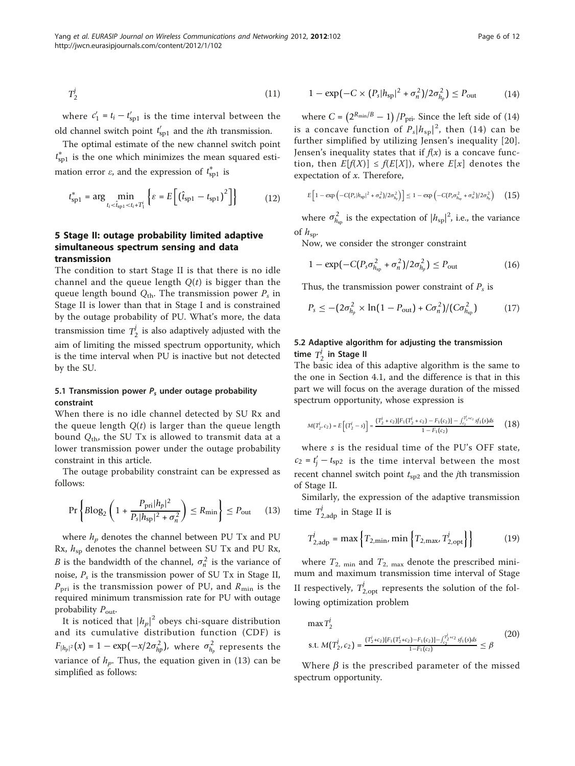$$
T_2^j \tag{11}
$$

where  $c'_1 = t_i - t'_{\text{sp1}}$  is the time interval between the old channel switch point  $t'_{\rm sp1}$  and the *i*th transmission.

The optimal estimate of the new channel switch point *t* ∗ sp1 is the one which minimizes the mean squared estimation error  $\varepsilon$ , and the expression of  $t_{\rm sp1}^*$  is

$$
t_{\rm sp1}^* = \arg\min_{t_i < \hat{t}_{\rm sp1} < t_i + T_1^i} \left\{ \varepsilon = E \left[ \left( \hat{t}_{\rm sp1} - t_{\rm sp1} \right)^2 \right] \right\} \tag{12}
$$

#### 5 Stage II: outage probability limited adaptive simultaneous spectrum sensing and data transmission

The condition to start Stage II is that there is no idle channel and the queue length  $Q(t)$  is bigger than the queue length bound  $Q_{th}$ . The transmission power  $P_s$  in Stage II is lower than that in Stage I and is constrained by the outage probability of PU. What's more, the data transmission time  $T_2^j$  is also adaptively adjusted with the aim of limiting the missed spectrum opportunity, which is the time interval when PU is inactive but not detected by the SU.

#### 5.1 Transmission power  $P_s$  under outage probability constraint

When there is no idle channel detected by SU Rx and the queue length  $Q(t)$  is larger than the queue length bound  $Q_{\text{th}}$ , the SU Tx is allowed to transmit data at a lower transmission power under the outage probability constraint in this article.

The outage probability constraint can be expressed as follows:

$$
\Pr\left\{\text{Blog}_2\left(1 + \frac{P_{\text{pri}}|h_p|^2}{P_s|h_{\text{sp}}|^2 + \sigma_n^2}\right) \le R_{\text{min}}\right\} \le P_{\text{out}} \tag{13}
$$

where  $h_p$  denotes the channel between PU Tx and PU Rx,  $h_{\rm sp}$  denotes the channel between SU Tx and PU Rx, *B* is the bandwidth of the channel,  $\sigma_n^2$  is the variance of noise,  $P_s$  is the transmission power of SU Tx in Stage II,  $P_{\text{pri}}$  is the transmission power of PU, and  $R_{\text{min}}$  is the required minimum transmission rate for PU with outage probability  $P_{\text{out}}$ .

It is noticed that  $\left|h_p\right|^2$  obeys chi-square distribution and its cumulative distribution function (CDF) is  $F_{|h_p|^2}(x) = 1 - \exp(-x/2\sigma_{hp}^2)$ , where  $\sigma_{h_p}^2$  represents the variance of  $h_p$ . Thus, the equation given in (13) can be simplified as follows:

$$
1 - \exp(-C \times (P_s |h_{sp}|^2 + \sigma_n^2)/2\sigma_{h_p}^2) \le P_{\text{out}} \tag{14}
$$

where  $C = (2^{R_{\min}/B} - 1)/P_{\text{pri}}$ . Since the left side of (14) is a concave function of  $P_s|h_{sp}|^2$ , then (14) can be further simplified by utilizing Jensen's inequality [[20](#page-11-0)]. Jensen's inequality states that if  $f(x)$  is a concave function, then  $E[f(X)] \leq f(E[X])$ , where  $E[x]$  denotes the expectation of x. Therefore,

$$
E\Big[1 - \exp\Big(-C(P_s|h_{\rm sp}|^2 + \sigma_n^2)/2\sigma_{h_p}^2\Big)\Big] \le 1 - \exp\Big(-C(P_s\sigma_{h_{\rm sp}}^2 + \sigma_n^2)/2\sigma_{h_p}^2\Big) \qquad \textbf{(15)}
$$

where  $\sigma_{h_{\rm sp}}^2$  is the expectation of  $|h_{\rm sp}|^2$ , i.e., the variance of  $h_{\rm sp}$ .

Now, we consider the stronger constraint

$$
1 - \exp(-C(P_s \sigma_{h_{sp}}^2 + \sigma_n^2)/2\sigma_{h_p}^2) \le P_{\text{out}}
$$
 (16)

Thus, the transmission power constraint of  $P_s$  is

$$
P_s \leq -\left(2\sigma_{h_p}^2 \times \ln(1 - P_{\text{out}}) + C\sigma_n^2\right) / \left(C\sigma_{h_{\text{sp}}}^2\right) \tag{17}
$$

### 5.2 Adaptive algorithm for adjusting the transmission time  $T_2^j$  in Stage II

The basic idea of this adaptive algorithm is the same to the one in Section 4.1, and the difference is that in this part we will focus on the average duration of the missed spectrum opportunity, whose expression is

$$
M(T_2^j, c_2) = E\left[(T_2^j - s)\right] = \frac{(T_2^j + c_2)[F_1(T_2^j + c_2) - F_1(c_2)] - \int_{c_2}^{T_2^j + c_2} sf_1(s)ds}{1 - F_1(c_2)}
$$
(18)

where s is the residual time of the PU's OFF state,  $c_2 = t'_j - t_{sp2}$  is the time interval between the most recent channel switch point  $t_{\text{sp2}}$  and the *j*th transmission of Stage II.

Similarly, the expression of the adaptive transmission time  $T_{2,\text{adp}}^j$  in Stage II is

$$
T_{2,\text{adp}}^j = \max\left\{T_{2,\text{min}}, \min\left\{T_{2,\text{max}}, T_{2,\text{opt}}^j\right\}\right\} \tag{19}
$$

where  $T_{2, \text{min}}$  and  $T_{2, \text{max}}$  denote the prescribed minimum and maximum transmission time interval of Stage II respectively,  $T^j_{2,\text{opt}}$  represents the solution of the following optimization problem

$$
\max T_2^j
$$
\ns.t. 
$$
M(T_2^j, c_2) = \frac{(T_2^j + c_2)[F_1(T_2^j + c_2) - F_1(c_2)] - \int_{c_2}^{T_2^j + c_2} sf_1(s)ds}{1 - F_1(c_2)} \le \beta
$$
\n(20)

Where  $\beta$  is the prescribed parameter of the missed spectrum opportunity.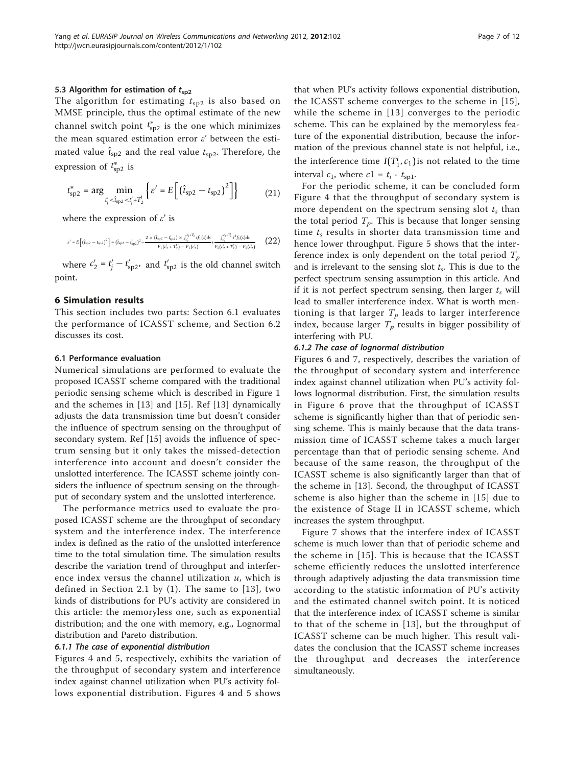#### 5.3 Algorithm for estimation of  $t_{sp2}$

The algorithm for estimating  $t_{sp2}$  is also based on MMSE principle, thus the optimal estimate of the new channel switch point  $t^\ast_{\text{sp2}}$  is the one which minimizes the mean squared estimation error  $\varepsilon'$  between the estimated value  $\hat{t}_{sp2}$  and the real value  $t_{sp2}$ . Therefore, the expression of  $t_{\rm sp2}^*$  is

$$
t_{\rm sp2}^* = \arg\min_{t_j' < \hat{t}_{\rm sp2} < t_j' + T_2^i} \left\{ \varepsilon' = E\left[ \left( \hat{t}_{\rm sp2} - t_{\rm sp2} \right)^2 \right] \right\} \tag{21}
$$

where the expression of  $\varepsilon'$  is

$$
\varepsilon' = E\left[ \left( \hat{t}_{sp2} - t_{sp2} \right)^2 \right] = \left( \hat{t}_{sp2} - t'_{sp2} \right)^2 - \frac{2 \times \left( \hat{t}_{sp2} - t'_{sp2} \right) \times \int_{c'_2}^{c'_2 + T'_2} sf_1(s) ds}{F_1(c'_2 + T'_2) - F_1(c'_2)} + \frac{\int_{c'_2}^{c'_2 + T'_2} s^2 f_1(s) ds}{F_1(c'_2 + T'_2) - F_1(c'_2)} \qquad \left( 22 \right)
$$

where  $c'_2 = t'_j - t'_{sp2}$ , and  $t'_{sp2}$  is the old channel switch point.

#### 6 Simulation results

This section includes two parts: Section 6.1 evaluates the performance of ICASST scheme, and Section 6.2 discusses its cost.

#### 6.1 Performance evaluation

Numerical simulations are performed to evaluate the proposed ICASST scheme compared with the traditional periodic sensing scheme which is described in Figure [1](#page-1-0) and the schemes in [[13\]](#page-11-0) and [[15\]](#page-11-0). Ref [[13](#page-11-0)] dynamically adjusts the data transmission time but doesn't consider the influence of spectrum sensing on the throughput of secondary system. Ref [[15\]](#page-11-0) avoids the influence of spectrum sensing but it only takes the missed-detection interference into account and doesn't consider the unslotted interference. The ICASST scheme jointly considers the influence of spectrum sensing on the throughput of secondary system and the unslotted interference.

The performance metrics used to evaluate the proposed ICASST scheme are the throughput of secondary system and the interference index. The interference index is defined as the ratio of the unslotted interference time to the total simulation time. The simulation results describe the variation trend of throughput and interference index versus the channel utilization  $u$ , which is defined in Section 2.1 by  $(1)$ . The same to  $[13]$  $[13]$ , two kinds of distributions for PU's activity are considered in this article: the memoryless one, such as exponential distribution; and the one with memory, e.g., Lognormal distribution and Pareto distribution.

#### 6.1.1 The case of exponential distribution

Figures [4](#page-7-0) and [5](#page-7-0), respectively, exhibits the variation of the throughput of secondary system and interference index against channel utilization when PU's activity follows exponential distribution. Figures [4](#page-7-0) and [5](#page-7-0) shows

that when PU's activity follows exponential distribution, the ICASST scheme converges to the scheme in [[15\]](#page-11-0), while the scheme in [[13](#page-11-0)] converges to the periodic scheme. This can be explained by the memoryless feature of the exponential distribution, because the information of the previous channel state is not helpful, i.e., the interference time  $I(T_1^i, c_1)$  is not related to the time interval  $c_1$ , where  $c_1 = t_i - t_{\text{spl}}$ .

For the periodic scheme, it can be concluded form Figure [4](#page-7-0) that the throughput of secondary system is more dependent on the spectrum sensing slot  $t_s$  than the total period  $T_p$ . This is because that longer sensing time  $t_s$  results in shorter data transmission time and hence lower throughput. Figure [5](#page-7-0) shows that the interference index is only dependent on the total period  $T_p$ and is irrelevant to the sensing slot  $t_s$ . This is due to the perfect spectrum sensing assumption in this article. And if it is not perfect spectrum sensing, then larger  $t_s$  will lead to smaller interference index. What is worth mentioning is that larger  $T_p$  leads to larger interference index, because larger  $T_p$  results in bigger possibility of interfering with PU.

#### 6.1.2 The case of lognormal distribution

Figures [6](#page-8-0) and [7](#page-8-0), respectively, describes the variation of the throughput of secondary system and interference index against channel utilization when PU's activity follows lognormal distribution. First, the simulation results in Figure [6](#page-8-0) prove that the throughput of ICASST scheme is significantly higher than that of periodic sensing scheme. This is mainly because that the data transmission time of ICASST scheme takes a much larger percentage than that of periodic sensing scheme. And because of the same reason, the throughput of the ICASST scheme is also significantly larger than that of the scheme in [[13\]](#page-11-0). Second, the throughput of ICASST scheme is also higher than the scheme in [\[15\]](#page-11-0) due to the existence of Stage II in ICASST scheme, which increases the system throughput.

Figure [7](#page-8-0) shows that the interfere index of ICASST scheme is much lower than that of periodic scheme and the scheme in [[15](#page-11-0)]. This is because that the ICASST scheme efficiently reduces the unslotted interference through adaptively adjusting the data transmission time according to the statistic information of PU's activity and the estimated channel switch point. It is noticed that the interference index of ICASST scheme is similar to that of the scheme in [[13](#page-11-0)], but the throughput of ICASST scheme can be much higher. This result validates the conclusion that the ICASST scheme increases the throughput and decreases the interference simultaneously.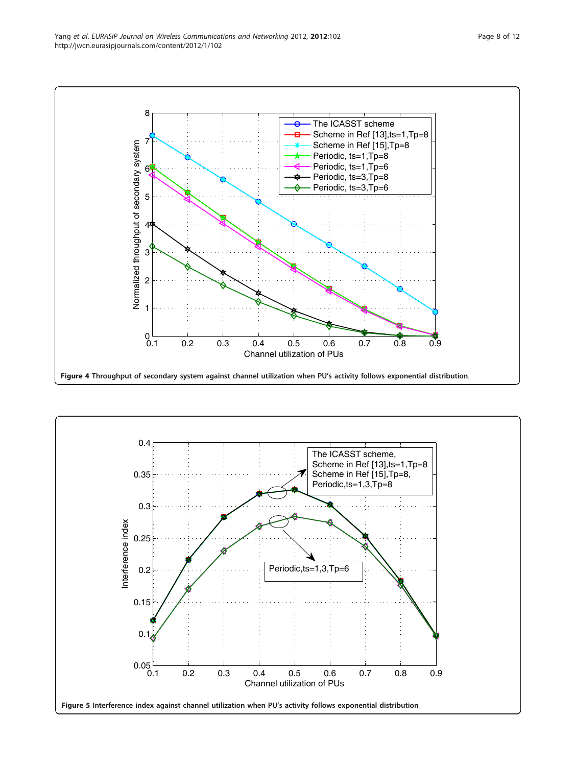<span id="page-7-0"></span>

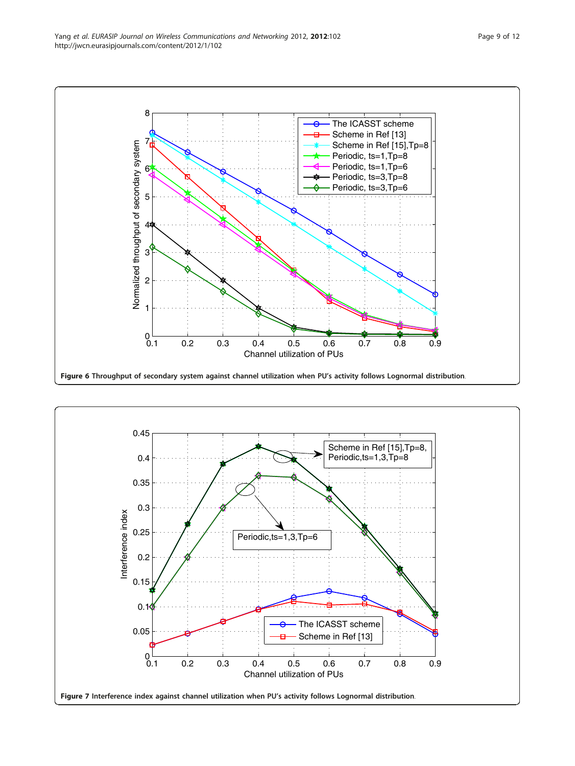<span id="page-8-0"></span>

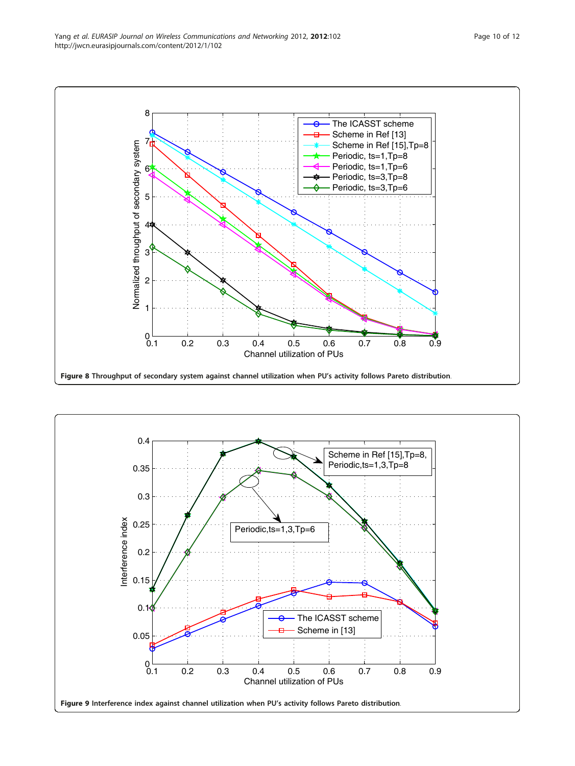<span id="page-9-0"></span>

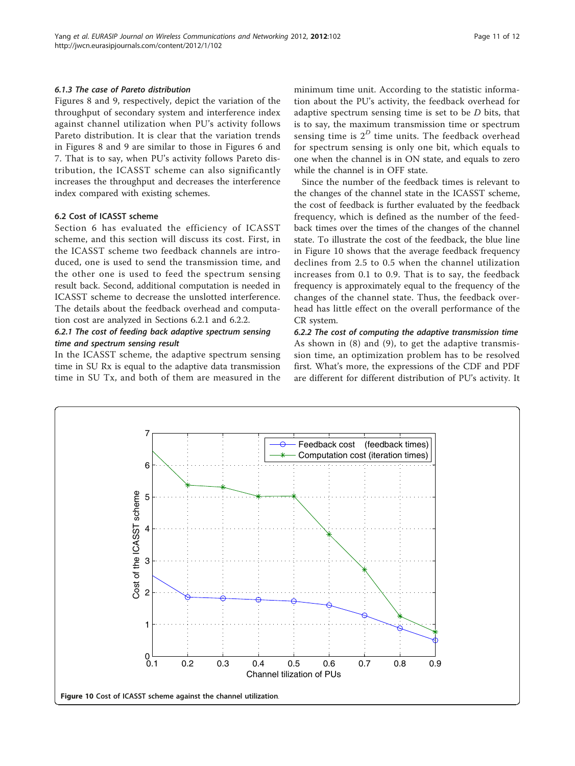#### <span id="page-10-0"></span>6.1.3 The case of Pareto distribution

Figures [8](#page-9-0) and [9,](#page-9-0) respectively, depict the variation of the throughput of secondary system and interference index against channel utilization when PU's activity follows Pareto distribution. It is clear that the variation trends in Figures [8](#page-9-0) and [9](#page-9-0) are similar to those in Figures [6](#page-8-0) and [7.](#page-8-0) That is to say, when PU's activity follows Pareto distribution, the ICASST scheme can also significantly increases the throughput and decreases the interference index compared with existing schemes.

#### 6.2 Cost of ICASST scheme

Section 6 has evaluated the efficiency of ICASST scheme, and this section will discuss its cost. First, in the ICASST scheme two feedback channels are introduced, one is used to send the transmission time, and the other one is used to feed the spectrum sensing result back. Second, additional computation is needed in ICASST scheme to decrease the unslotted interference. The details about the feedback overhead and computation cost are analyzed in Sections 6.2.1 and 6.2.2.

#### 6.2.1 The cost of feeding back adaptive spectrum sensing time and spectrum sensing result

In the ICASST scheme, the adaptive spectrum sensing time in SU Rx is equal to the adaptive data transmission time in SU Tx, and both of them are measured in the minimum time unit. According to the statistic information about the PU's activity, the feedback overhead for adaptive spectrum sensing time is set to be  $D$  bits, that is to say, the maximum transmission time or spectrum sensing time is  $2^D$  time units. The feedback overhead for spectrum sensing is only one bit, which equals to one when the channel is in ON state, and equals to zero while the channel is in OFF state.

Since the number of the feedback times is relevant to the changes of the channel state in the ICASST scheme, the cost of feedback is further evaluated by the feedback frequency, which is defined as the number of the feedback times over the times of the changes of the channel state. To illustrate the cost of the feedback, the blue line in Figure 10 shows that the average feedback frequency declines from 2.5 to 0.5 when the channel utilization increases from 0.1 to 0.9. That is to say, the feedback frequency is approximately equal to the frequency of the changes of the channel state. Thus, the feedback overhead has little effect on the overall performance of the CR system.

6.2.2 The cost of computing the adaptive transmission time As shown in (8) and (9), to get the adaptive transmission time, an optimization problem has to be resolved first. What's more, the expressions of the CDF and PDF are different for different distribution of PU's activity. It